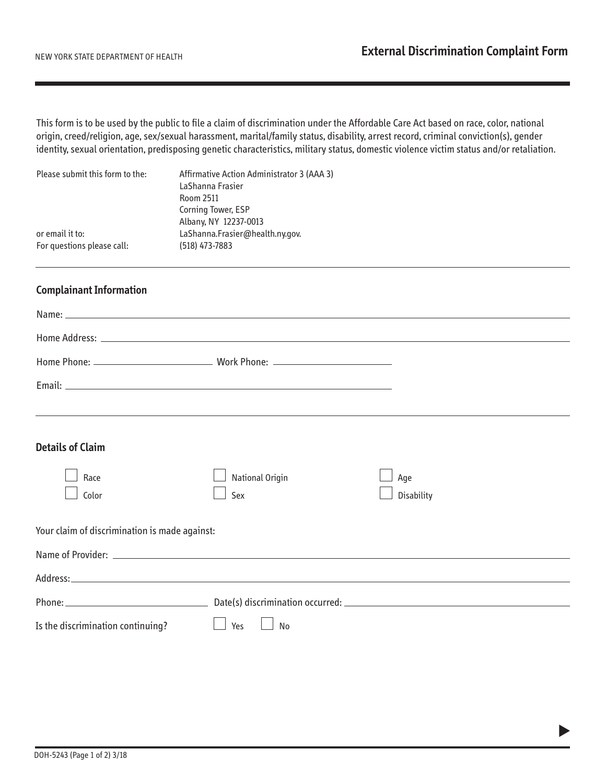This form is to be used by the public to file a claim of discrimination under the Affordable Care Act based on race, color, national origin, creed/religion, age, sex/sexual harassment, marital/family status, disability, arrest record, criminal conviction(s), gender identity, sexual orientation, predisposing genetic characteristics, military status, domestic violence victim status and/or retaliation.

| Please submit this form to the: | Affirmative Action Administrator 3 (AAA 3) |
|---------------------------------|--------------------------------------------|
|                                 | LaShanna Frasier                           |
|                                 | Room 2511                                  |
|                                 | Corning Tower, ESP                         |
|                                 | Albany, NY 12237-0013                      |
| or email it to:                 | LaShanna.Frasier@health.ny.gov.            |
| For questions please call:      | $(518)$ 473-7883                           |

## **Complainant Information**

| <u> 1989 - An Dùbhlachd ann an Dùbhlachd ann an Dùbhlachd ann an Dùbhlachd ann an Dùbhlachd ann an Dùbhlachd ann a</u> |                        |                   |  |
|------------------------------------------------------------------------------------------------------------------------|------------------------|-------------------|--|
| <b>Details of Claim</b>                                                                                                |                        |                   |  |
| Race<br>Color                                                                                                          | National Origin<br>Sex | Age<br>Disability |  |
| Your claim of discrimination is made against:                                                                          |                        |                   |  |
| Name of Provider: et al. 2010 and 2010 and 2010 and 2010 and 2010 and 2010 and 2010 and 2010 and 2010 and 2010         |                        |                   |  |
|                                                                                                                        |                        |                   |  |
|                                                                                                                        |                        |                   |  |
| Is the discrimination continuing?                                                                                      | Yes<br>No              |                   |  |